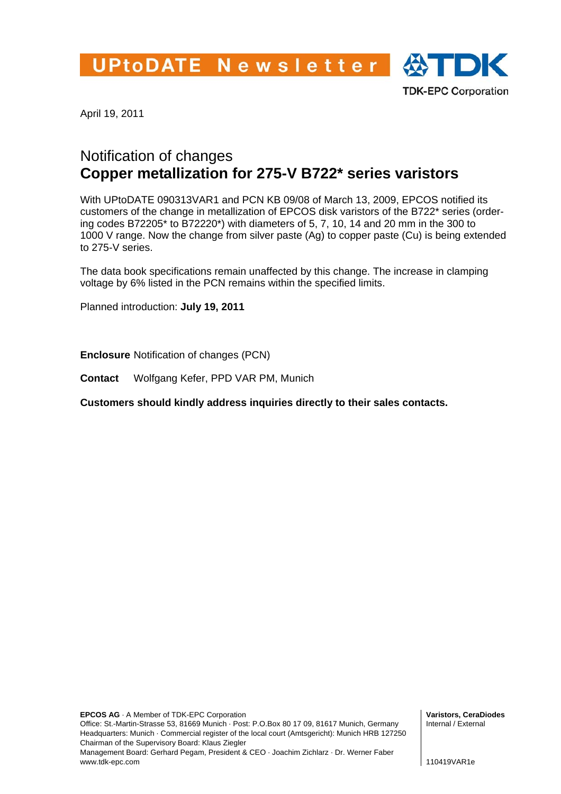UPtoDATE Newsletter  $\bigoplus$  TDK



April 19, 2011

## Notification of changes **Copper metallization for 275-V B722\* series varistors**

With UPtoDATE 090313VAR1 and PCN KB 09/08 of March 13, 2009, EPCOS notified its customers of the change in metallization of EPCOS disk varistors of the B722\* series (ordering codes B72205\* to B72220\*) with diameters of 5, 7, 10, 14 and 20 mm in the 300 to 1000 V range. Now the change from silver paste (Ag) to copper paste (Cu) is being extended to 275-V series.

The data book specifications remain unaffected by this change. The increase in clamping voltage by 6% listed in the PCN remains within the specified limits.

Planned introduction: **July 19, 2011**

**Enclosure** Notification of changes (PCN)

**Contact** Wolfgang Kefer, PPD VAR PM, Munich

**Customers should kindly address inquiries directly to their sales contacts.** 

**Varistors, CeraDiodes** Internal / External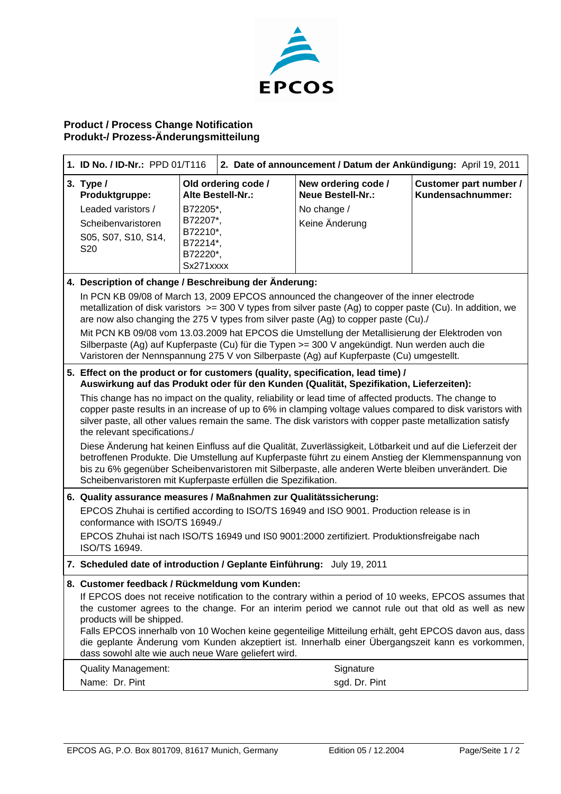

## **Product / Process Change Notification Produkt-/ Prozess-Änderungsmitteilung**

| 1. ID No. / ID-Nr.: PPD 01/T116                                                                                                                                                                                                                                                                                           |                                                                                                                                                          | 2. Date of announcement / Datum der Ankündigung: April 19, 2011 |                                                 |                                             |  |
|---------------------------------------------------------------------------------------------------------------------------------------------------------------------------------------------------------------------------------------------------------------------------------------------------------------------------|----------------------------------------------------------------------------------------------------------------------------------------------------------|-----------------------------------------------------------------|-------------------------------------------------|---------------------------------------------|--|
| 3. Type $/$<br>Produktgruppe:                                                                                                                                                                                                                                                                                             |                                                                                                                                                          | Old ordering code /<br>Alte Bestell-Nr.:                        | New ordering code /<br><b>Neue Bestell-Nr.:</b> | Customer part number /<br>Kundensachnummer: |  |
| Leaded varistors /                                                                                                                                                                                                                                                                                                        | B72205*,                                                                                                                                                 |                                                                 | No change /                                     |                                             |  |
| Scheibenvaristoren                                                                                                                                                                                                                                                                                                        | B72207*,                                                                                                                                                 |                                                                 | Keine Änderung                                  |                                             |  |
| S05, S07, S10, S14,                                                                                                                                                                                                                                                                                                       | B72210*,<br>B72214*,                                                                                                                                     |                                                                 |                                                 |                                             |  |
| S20                                                                                                                                                                                                                                                                                                                       | B72220*,                                                                                                                                                 |                                                                 |                                                 |                                             |  |
|                                                                                                                                                                                                                                                                                                                           | Sx271xxxx                                                                                                                                                |                                                                 |                                                 |                                             |  |
| 4. Description of change / Beschreibung der Änderung:                                                                                                                                                                                                                                                                     |                                                                                                                                                          |                                                                 |                                                 |                                             |  |
| In PCN KB 09/08 of March 13, 2009 EPCOS announced the changeover of the inner electrode<br>metallization of disk varistors $>=$ 300 V types from silver paste (Ag) to copper paste (Cu). In addition, we<br>are now also changing the 275 V types from silver paste (Ag) to copper paste (Cu)./                           |                                                                                                                                                          |                                                                 |                                                 |                                             |  |
| Mit PCN KB 09/08 vom 13.03.2009 hat EPCOS die Umstellung der Metallisierung der Elektroden von<br>Silberpaste (Ag) auf Kupferpaste (Cu) für die Typen >= 300 V angekündigt. Nun werden auch die<br>Varistoren der Nennspannung 275 V von Silberpaste (Ag) auf Kupferpaste (Cu) umgestellt.                                |                                                                                                                                                          |                                                                 |                                                 |                                             |  |
| 5. Effect on the product or for customers (quality, specification, lead time) /                                                                                                                                                                                                                                           |                                                                                                                                                          |                                                                 |                                                 |                                             |  |
| Auswirkung auf das Produkt oder für den Kunden (Qualität, Spezifikation, Lieferzeiten):                                                                                                                                                                                                                                   |                                                                                                                                                          |                                                                 |                                                 |                                             |  |
| This change has no impact on the quality, reliability or lead time of affected products. The change to                                                                                                                                                                                                                    |                                                                                                                                                          |                                                                 |                                                 |                                             |  |
| copper paste results in an increase of up to 6% in clamping voltage values compared to disk varistors with<br>silver paste, all other values remain the same. The disk varistors with copper paste metallization satisfy                                                                                                  |                                                                                                                                                          |                                                                 |                                                 |                                             |  |
| the relevant specifications./                                                                                                                                                                                                                                                                                             |                                                                                                                                                          |                                                                 |                                                 |                                             |  |
| Diese Änderung hat keinen Einfluss auf die Qualität, Zuverlässigkeit, Lötbarkeit und auf die Lieferzeit der<br>betroffenen Produkte. Die Umstellung auf Kupferpaste führt zu einem Anstieg der Klemmenspannung von<br>bis zu 6% gegenüber Scheibenvaristoren mit Silberpaste, alle anderen Werte bleiben unverändert. Die |                                                                                                                                                          |                                                                 |                                                 |                                             |  |
| Scheibenvaristoren mit Kupferpaste erfüllen die Spezifikation.                                                                                                                                                                                                                                                            |                                                                                                                                                          |                                                                 |                                                 |                                             |  |
| 6. Quality assurance measures / Maßnahmen zur Qualitätssicherung:                                                                                                                                                                                                                                                         |                                                                                                                                                          |                                                                 |                                                 |                                             |  |
| EPCOS Zhuhai is certified according to ISO/TS 16949 and ISO 9001. Production release is in<br>conformance with ISO/TS 16949./                                                                                                                                                                                             |                                                                                                                                                          |                                                                 |                                                 |                                             |  |
| EPCOS Zhuhai ist nach ISO/TS 16949 und IS0 9001:2000 zertifiziert. Produktionsfreigabe nach<br><b>ISO/TS 16949.</b>                                                                                                                                                                                                       |                                                                                                                                                          |                                                                 |                                                 |                                             |  |
| 7. Scheduled date of introduction / Geplante Einführung: July 19, 2011                                                                                                                                                                                                                                                    |                                                                                                                                                          |                                                                 |                                                 |                                             |  |
| 8. Customer feedback / Rückmeldung vom Kunden:                                                                                                                                                                                                                                                                            |                                                                                                                                                          |                                                                 |                                                 |                                             |  |
| If EPCOS does not receive notification to the contrary within a period of 10 weeks, EPCOS assumes that                                                                                                                                                                                                                    |                                                                                                                                                          |                                                                 |                                                 |                                             |  |
| the customer agrees to the change. For an interim period we cannot rule out that old as well as new<br>products will be shipped.                                                                                                                                                                                          |                                                                                                                                                          |                                                                 |                                                 |                                             |  |
|                                                                                                                                                                                                                                                                                                                           | Falls EPCOS innerhalb von 10 Wochen keine gegenteilige Mitteilung erhält, geht EPCOS davon aus, dass                                                     |                                                                 |                                                 |                                             |  |
|                                                                                                                                                                                                                                                                                                                           | die geplante Änderung vom Kunden akzeptiert ist. Innerhalb einer Übergangszeit kann es vorkommen,<br>dass sowohl alte wie auch neue Ware geliefert wird. |                                                                 |                                                 |                                             |  |
| <b>Quality Management:</b>                                                                                                                                                                                                                                                                                                |                                                                                                                                                          |                                                                 | Signature                                       |                                             |  |
| Name: Dr. Pint                                                                                                                                                                                                                                                                                                            |                                                                                                                                                          |                                                                 | sgd. Dr. Pint                                   |                                             |  |